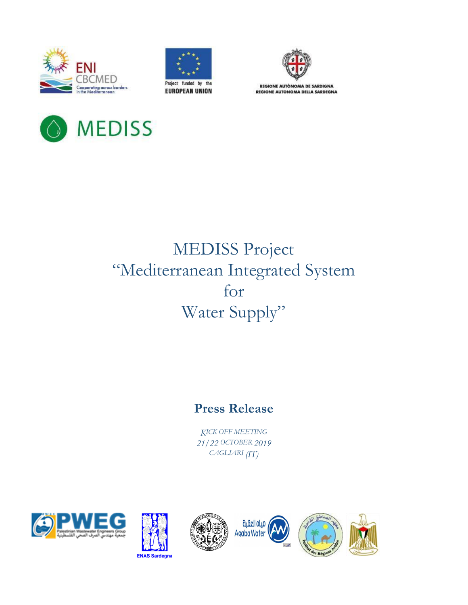





O MEDISS

# MEDISS Project "Mediterranean Integrated System for Water Supply"

# **Press Release**

*KICK OFF MEETING 21/22 OCTOBER 2019 CAGLIARI (IT)*